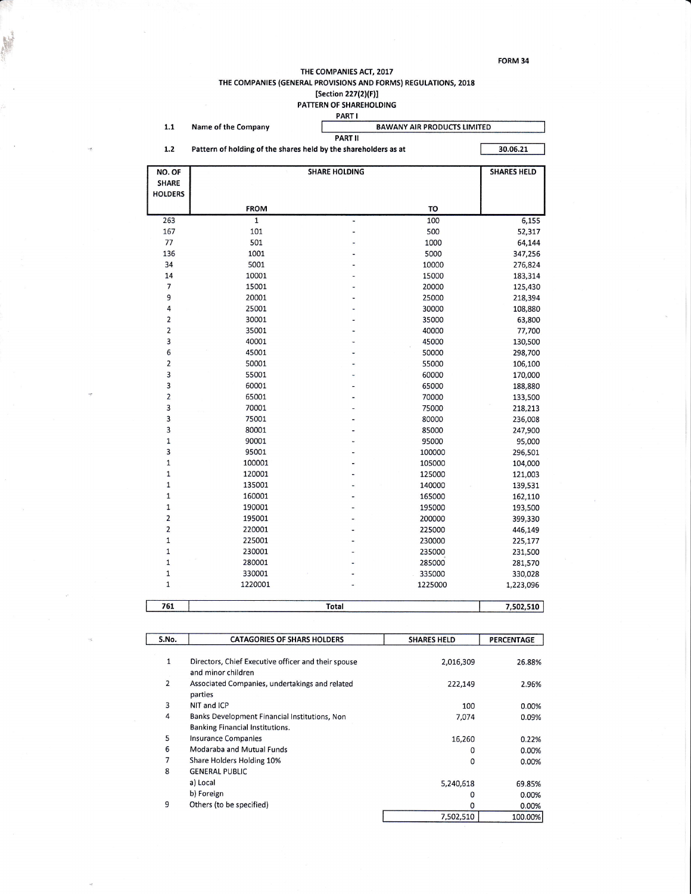FORM 34

## THE COMPANIES ACT, 2017 THE COMPANIES (GENERAL PROVISIONS AND FORMS) REGULATIONS, 2018 Section 227(2)(F)]<br>[Section 227(2)(F)]<br>PATTERN OF SHAREHOLDING<br>PART I

|                            |                                                                             | <b>PARI</b>                        |         |                    |  |  |  |
|----------------------------|-----------------------------------------------------------------------------|------------------------------------|---------|--------------------|--|--|--|
| $1.1$                      | Name of the Company                                                         | <b>BAWANY AIR PRODUCTS LIMITED</b> |         |                    |  |  |  |
|                            | <b>PART II</b>                                                              |                                    |         |                    |  |  |  |
| 1.2                        | Pattern of holding of the shares held by the shareholders as at<br>30.06.21 |                                    |         |                    |  |  |  |
| NO. OF                     |                                                                             | <b>SHARE HOLDING</b>               |         | <b>SHARES HELD</b> |  |  |  |
| <b>SHARE</b>               |                                                                             |                                    |         |                    |  |  |  |
| <b>HOLDERS</b>             |                                                                             |                                    |         |                    |  |  |  |
|                            | <b>FROM</b>                                                                 |                                    | TO      |                    |  |  |  |
| 263                        | $\overline{\mathbf{1}}$                                                     | ٠                                  | 100     | 6,155              |  |  |  |
| 167                        | 101                                                                         | ۳                                  | 500     | 52,317             |  |  |  |
| 77                         | 501                                                                         |                                    | 1000    | 64,144             |  |  |  |
| 136                        | 1001                                                                        |                                    | 5000    | 347,256            |  |  |  |
| 34                         | 5001                                                                        |                                    | 10000   | 276,824            |  |  |  |
| 14                         | 10001                                                                       |                                    | 15000   | 183,314            |  |  |  |
| $\overline{7}$             | 15001                                                                       |                                    | 20000   | 125,430            |  |  |  |
| 9                          | 20001                                                                       |                                    | 25000   | 218,394            |  |  |  |
| 4                          | 25001                                                                       |                                    | 30000   | 108,880            |  |  |  |
| $\overline{2}$             | 30001                                                                       |                                    | 35000   | 63,800             |  |  |  |
| $\overline{2}$             | 35001                                                                       |                                    | 40000   | 77,700             |  |  |  |
| 3                          | 40001                                                                       |                                    | 45000   | 130,500            |  |  |  |
| 6                          | 45001                                                                       |                                    | 50000   | 298,700            |  |  |  |
| $\overline{2}$             | 50001                                                                       |                                    | 55000   | 106,100            |  |  |  |
| $\overline{3}$             | 55001                                                                       |                                    | 60000   | 170,000            |  |  |  |
| 3                          | 60001                                                                       |                                    | 65000   |                    |  |  |  |
| $\overline{2}$             | 65001                                                                       |                                    | 70000   | 188,880            |  |  |  |
| 3                          | 70001                                                                       |                                    |         | 133,500            |  |  |  |
| 3                          |                                                                             |                                    | 75000   | 218,213            |  |  |  |
| 3                          | 75001                                                                       |                                    | 80000   | 236,008            |  |  |  |
| $\mathbf 1$                | 80001                                                                       |                                    | 85000   | 247,900            |  |  |  |
| $\overline{3}$             | 90001                                                                       |                                    | 95000   | 95,000             |  |  |  |
| 1                          | 95001                                                                       |                                    | 100000  | 296,501            |  |  |  |
| $\mathbf{1}$               | 100001                                                                      |                                    | 105000  | 104,000            |  |  |  |
| $\mathbf{1}$               | 120001                                                                      |                                    | 125000  | 121,003            |  |  |  |
|                            | 135001                                                                      |                                    | 140000  | 139,531            |  |  |  |
| $\mathbf 1$<br>$\mathbf 1$ | 160001                                                                      |                                    | 165000  | 162,110            |  |  |  |
|                            | 190001                                                                      |                                    | 195000  | 193,500            |  |  |  |
| $\overline{2}$             | 195001                                                                      |                                    | 200000  | 399,330            |  |  |  |
| $\overline{2}$             | 220001                                                                      |                                    | 225000  | 446,149            |  |  |  |
| $\mathbf{1}$               | 225001                                                                      |                                    | 230000  | 225,177            |  |  |  |
| $\mathbf 1$                | 230001                                                                      |                                    | 235000  | 231,500            |  |  |  |
| $\mathbf{1}$               | 280001                                                                      |                                    | 285000  | 281,570            |  |  |  |
| $\mathbf{1}$               | 330001                                                                      |                                    | 335000  | 330,028            |  |  |  |
| $\mathbf{1}$               | 1220001                                                                     |                                    | 1225000 | 1,223,096          |  |  |  |
| 761                        |                                                                             | <b>Total</b>                       |         | 7,502,510          |  |  |  |

| S.No.          | <b>CATAGORIES OF SHARS HOLDERS</b>                  | <b>SHARES HELD</b> | <b>PERCENTAGE</b> |
|----------------|-----------------------------------------------------|--------------------|-------------------|
|                |                                                     |                    |                   |
| $\mathbf{1}$   | Directors, Chief Executive officer and their spouse | 2,016,309          | 26.88%            |
|                | and minor children                                  |                    |                   |
| $\overline{2}$ | Associated Companies, undertakings and related      | 222,149            | 2.96%             |
|                | parties                                             |                    |                   |
| 3              | NIT and ICP                                         | 100                | 0.00%             |
| 4              | Banks Development Financial Institutions, Non       | 7,074              | 0.09%             |
|                | Banking Financial Institutions.                     |                    |                   |
| 5              | <b>Insurance Companies</b>                          | 16,260             | 0.22%             |
| 6              | Modaraba and Mutual Funds                           | 0                  | 0.00%             |
| 7              | Share Holders Holding 10%                           | 0                  | 0.00%             |
| 8              | <b>GENERAL PUBLIC</b>                               |                    |                   |
|                | a) Local                                            | 5,240,618          | 69.85%            |
|                | b) Foreign                                          | 0                  | 0.00%             |
| 9              | Others (to be specified)                            | 0                  | 0.00%             |
|                |                                                     | 7,502,510          | 100.00%           |